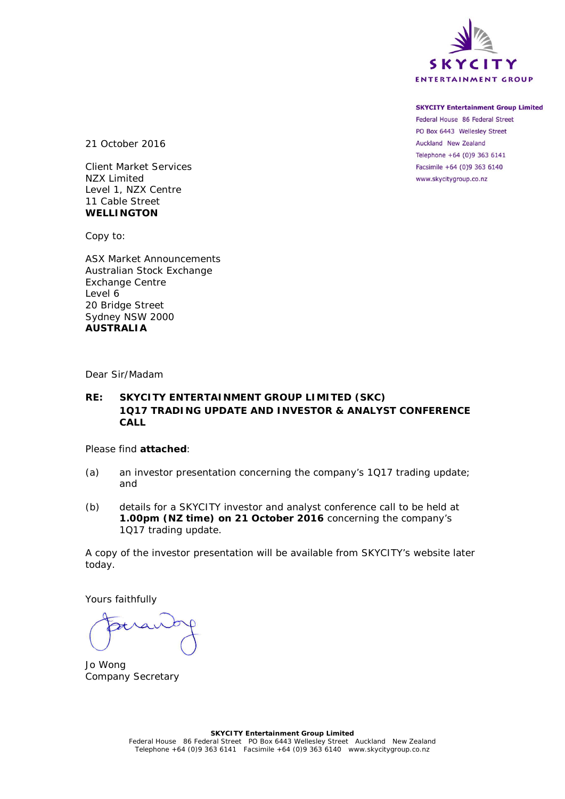

#### **SKYCITY Entertainment Group Limited**

Federal House 86 Federal Street PO Box 6443 Wellesley Street Auckland New Zealand Telephone +64 (0)9 363 6141 Facsimile +64 (0)9 363 6140 www.skycitygroup.co.nz

21 October 2016

Client Market Services NZX Limited Level 1, NZX Centre 11 Cable Street **WELLINGTON**

Copy to:

ASX Market Announcements Australian Stock Exchange Exchange Centre Level 6 20 Bridge Street Sydney NSW 2000 **AUSTRALIA**

Dear Sir/Madam

#### **RE: SKYCITY ENTERTAINMENT GROUP LIMITED (SKC) 1Q17 TRADING UPDATE AND INVESTOR & ANALYST CONFERENCE CALL**

Please find **attached**:

- (a) an investor presentation concerning the company's 1Q17 trading update; and
- (b) details for a SKYCITY investor and analyst conference call to be held at **1.00pm (NZ time) on 21 October 2016** concerning the company's 1Q17 trading update.

A copy of the investor presentation will be available from SKYCITY's website later today.

Yours faithfully

Jo Wong Company Secretary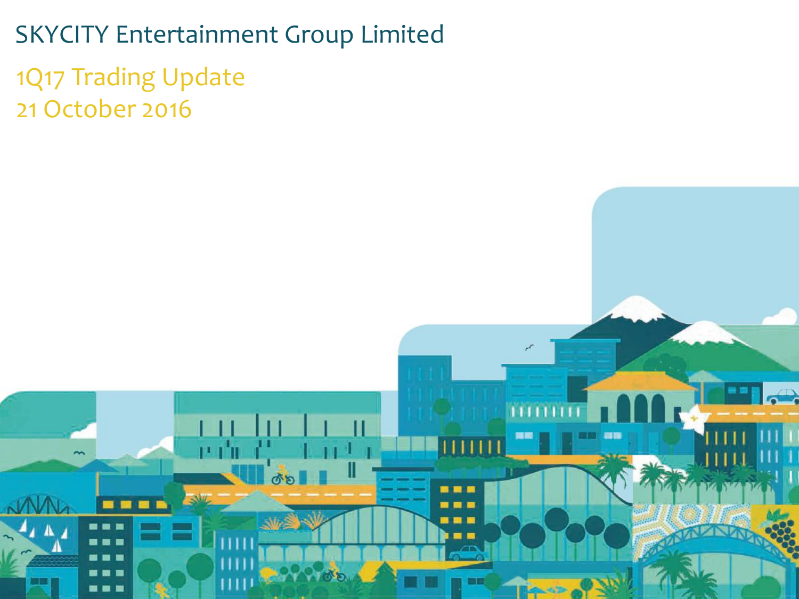## SKYCITY Entertainment Group Limited

## 1Q17 Trading Update 21 October 2016

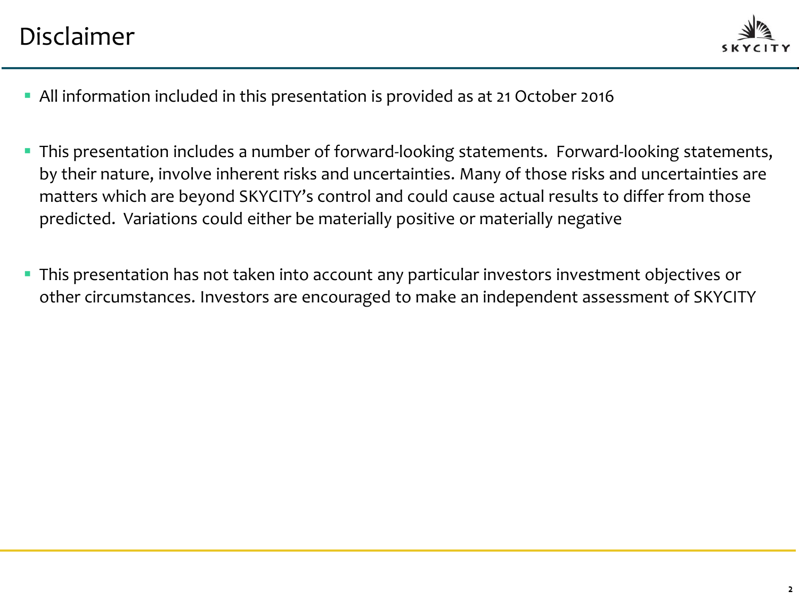

- All information included in this presentation is provided as at 21 October 2016
- **This presentation includes a number of forward-looking statements. Forward-looking statements,** by their nature, involve inherent risks and uncertainties. Many of those risks and uncertainties are matters which are beyond SKYCITY's control and could cause actual results to differ from those predicted. Variations could either be materially positive or materially negative
- **This presentation has not taken into account any particular investors investment objectives or** other circumstances. Investors are encouraged to make an independent assessment of SKYCITY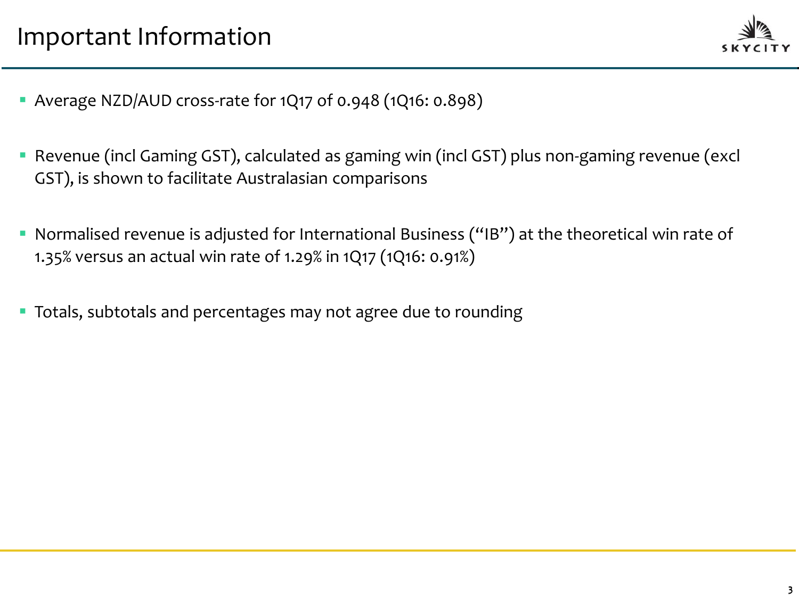

- Average NZD/AUD cross-rate for 1Q17 of 0.948 (1Q16: 0.898)
- Revenue (incl Gaming GST), calculated as gaming win (incl GST) plus non-gaming revenue (excl GST), is shown to facilitate Australasian comparisons
- Normalised revenue is adjusted for International Business ("IB") at the theoretical win rate of 1.35% versus an actual win rate of 1.29% in 1Q17 (1Q16: 0.91%)
- **Totals, subtotals and percentages may not agree due to rounding**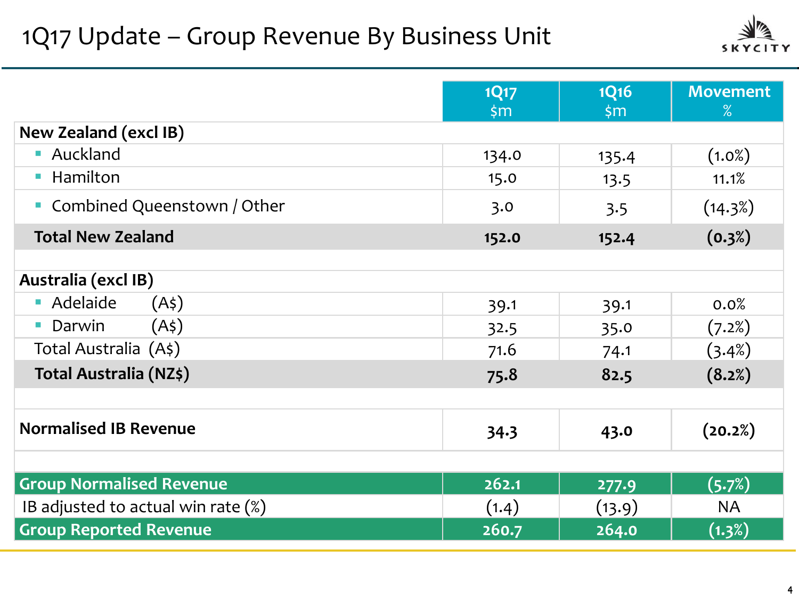## 1Q17 Update – Group Revenue By Business Unit



|                                                               | <b>1Q17</b><br>$\frac{1}{2}$ | <b>1Q16</b><br>$\frac{2}{3}$ | <b>Movement</b><br>$\%$ |
|---------------------------------------------------------------|------------------------------|------------------------------|-------------------------|
| <b>New Zealand (excl IB)</b>                                  |                              |                              |                         |
| Auckland<br>$\mathcal{L}_{\mathcal{A}}$                       | 134.0                        | 135.4                        | $(1.0\%)$               |
| Hamilton<br>$\mathcal{L}_{\mathcal{A}}$                       | 15.0                         | 13.5                         | 11.1%                   |
| Combined Queenstown / Other                                   | 3.0                          | 3.5                          | (14.3%)                 |
| <b>Total New Zealand</b>                                      | 152.0                        | 152.4                        | (0.3%)                  |
| Australia (excl IB)                                           |                              |                              |                         |
| Adelaide<br>$(A\overline{S})$<br>$\mathcal{L}_{\mathcal{A}}$  | 39.1                         | 39.1                         | 0.0%                    |
| $(A\dot{\varsigma})$<br>Darwin<br>$\mathcal{L}_{\mathcal{A}}$ | 32.5                         | 35.0                         | (7.2%)                  |
| Total Australia (A\$)                                         | 71.6                         | 74.1                         | (3.4%)                  |
| Total Australia (NZ\$)                                        | 75.8                         | 82.5                         | (8.2%)                  |
| <b>Normalised IB Revenue</b>                                  | 34.3                         | 43.0                         | (20.2%)                 |
| <b>Group Normalised Revenue</b>                               | 262.1                        | 277.9                        | (5.7%)                  |
| IB adjusted to actual win rate $(\%)$                         | (1.4)                        | (13.9)                       | <b>NA</b>               |
| <b>Group Reported Revenue</b>                                 | 260.7                        | 264.0                        | (1.3%)                  |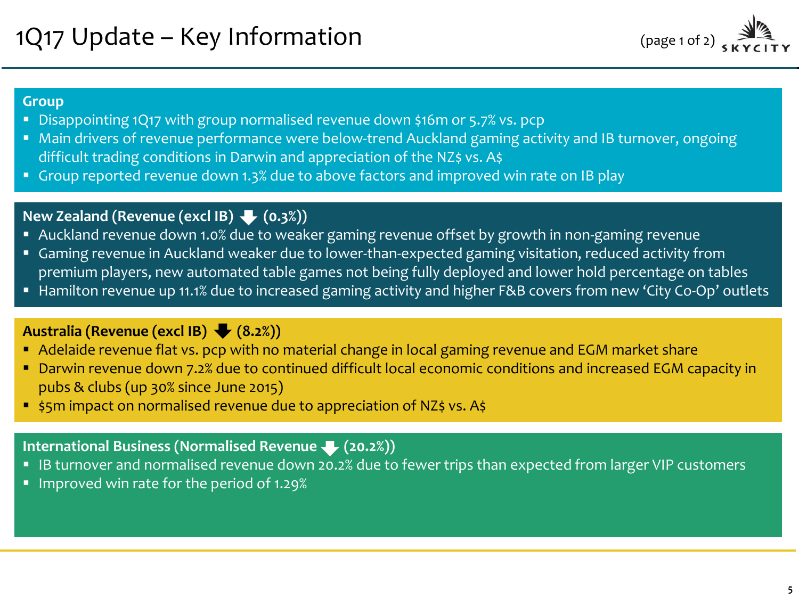

#### **Group**

- Disappointing 1Q17 with group normalised revenue down \$16m or 5.7% vs. pcp
- Main drivers of revenue performance were below-trend Auckland gaming activity and IB turnover, ongoing difficult trading conditions in Darwin and appreciation of the NZ\$ vs. A\$
- Group reported revenue down 1.3% due to above factors and improved win rate on IB play

## **New Zealand (Revenue (excl IB)** (0.3%))

- Auckland revenue down 1.0% due to weaker gaming revenue offset by growth in non-gaming revenue
- Gaming revenue in Auckland weaker due to lower-than-expected gaming visitation, reduced activity from premium players, new automated table games not being fully deployed and lower hold percentage on tables
- Hamilton revenue up 11.1% due to increased gaming activity and higher F&B covers from new 'City Co-Op' outlets

## Australia (Revenue (excl IB) (8.2%))

- Adelaide revenue flat vs. pcp with no material change in local gaming revenue and EGM market share
- Darwin revenue down 7.2% due to continued difficult local economic conditions and increased EGM capacity in pubs & clubs (up 30% since June 2015)
- \$5m impact on normalised revenue due to appreciation of NZ\$ vs. A\$

### **International Business (Normalised Revenue (20.2%))**

- IB turnover and normalised revenue down 20.2% due to fewer trips than expected from larger VIP customers
- **IMPROVED WILL THE SET OF THE PERIOD OF 1.29%**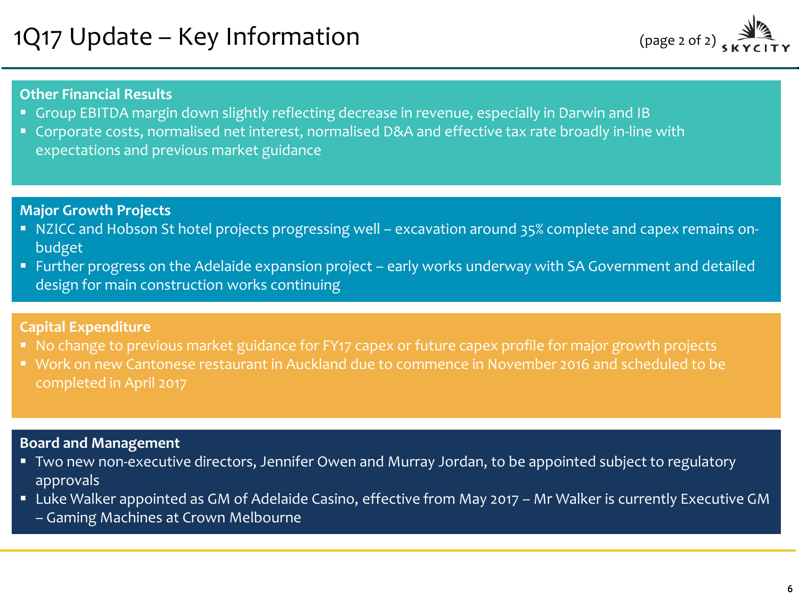

### **Other Financial Results**

- Group EBITDA margin down slightly reflecting decrease in revenue, especially in Darwin and IB
- Corporate costs, normalised net interest, normalised D&A and effective tax rate broadly in-line with expectations and previous market guidance

### **Major Growth Projects**

- NZICC and Hobson St hotel projects progressing well excavation around 35% complete and capex remains onbudget
- Further progress on the Adelaide expansion project early works underway with SA Government and detailed design for main construction works continuing

### **Capital Expenditure**

- No change to previous market guidance for FY17 capex or future capex profile for major growth projects
- Work on new Cantonese restaurant in Auckland due to commence in November 2016 and scheduled to be completed in April 2017

### **Board and Management**

- Two new non-executive directors, Jennifer Owen and Murray Jordan, to be appointed subject to regulatory approvals
- Luke Walker appointed as GM of Adelaide Casino, effective from May 2017 Mr Walker is currently Executive GM
	- Gaming Machines at Crown Melbourne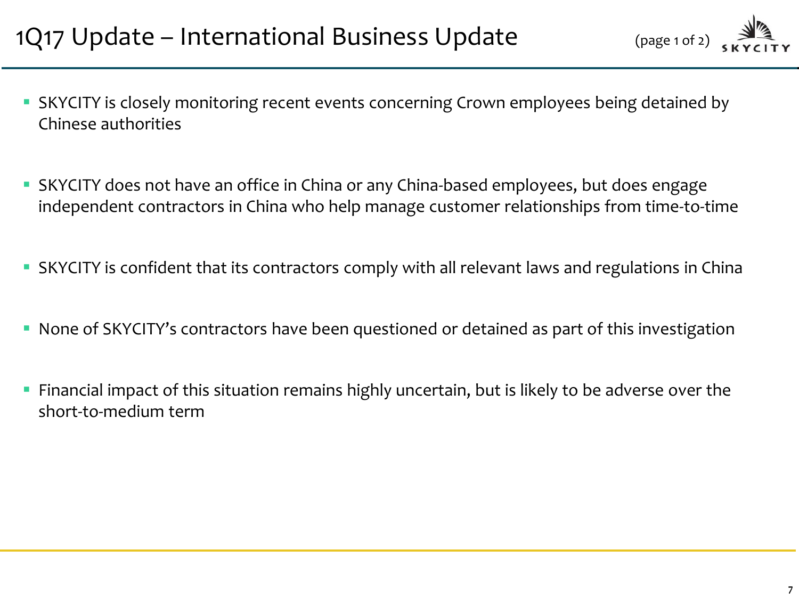# 1Q17 Update – International Business Update  $_{(page 1 of 2)}$



- SKYCITY is closely monitoring recent events concerning Crown employees being detained by Chinese authorities
- SKYCITY does not have an office in China or any China-based employees, but does engage independent contractors in China who help manage customer relationships from time-to-time
- SKYCITY is confident that its contractors comply with all relevant laws and regulations in China
- **None of SKYCITY's contractors have been questioned or detained as part of this investigation**
- Financial impact of this situation remains highly uncertain, but is likely to be adverse over the short-to-medium term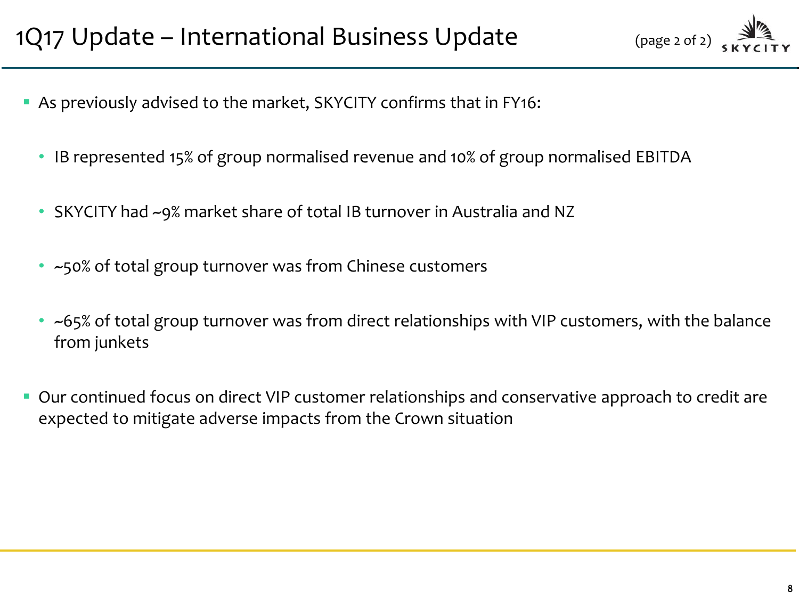

- As previously advised to the market, SKYCITY confirms that in FY16:
	- IB represented 15% of group normalised revenue and 10% of group normalised EBITDA
	- SKYCITY had ~9% market share of total IB turnover in Australia and NZ
	- ~50% of total group turnover was from Chinese customers
	- ~65% of total group turnover was from direct relationships with VIP customers, with the balance from junkets
- **Dur continued focus on direct VIP customer relationships and conservative approach to credit are** expected to mitigate adverse impacts from the Crown situation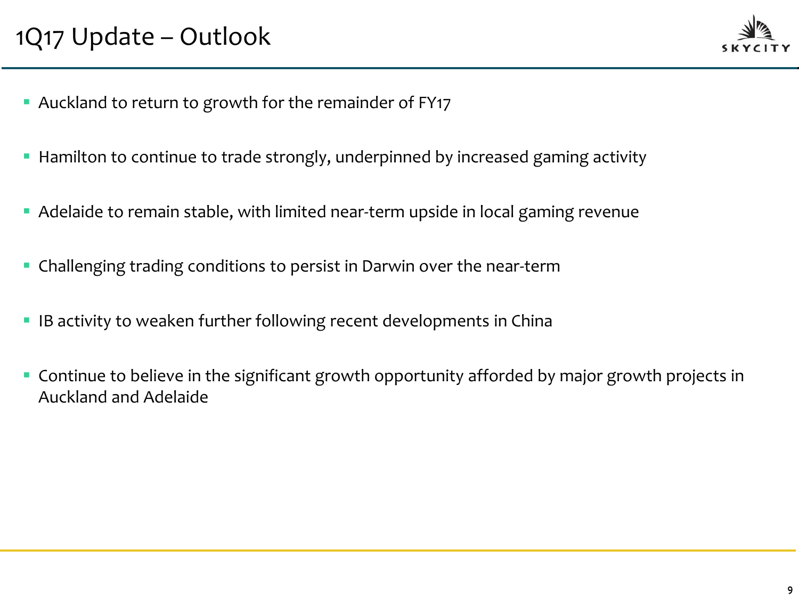

- Auckland to return to growth for the remainder of FY17
- **Hamilton to continue to trade strongly, underpinned by increased gaming activity**
- Adelaide to remain stable, with limited near-term upside in local gaming revenue
- Challenging trading conditions to persist in Darwin over the near-term
- **IF IB activity to weaken further following recent developments in China**
- **Continue to believe in the significant growth opportunity afforded by major growth projects in** Auckland and Adelaide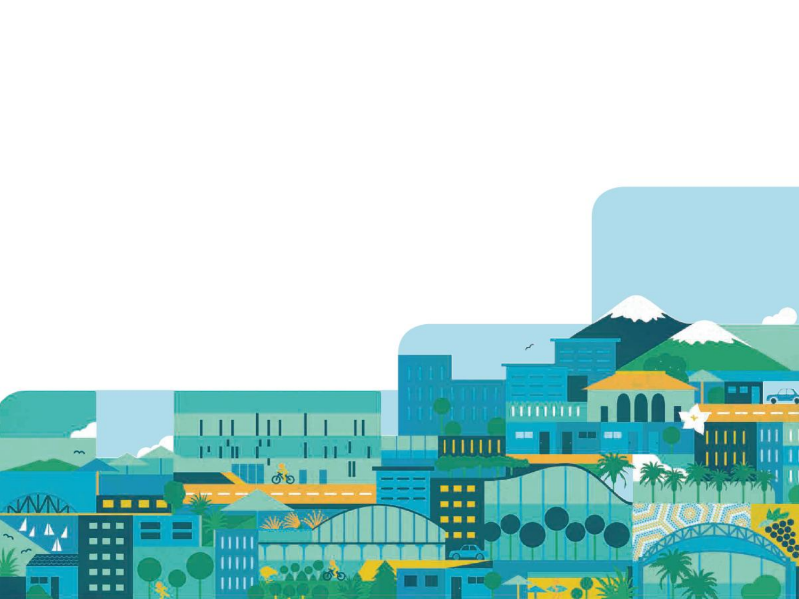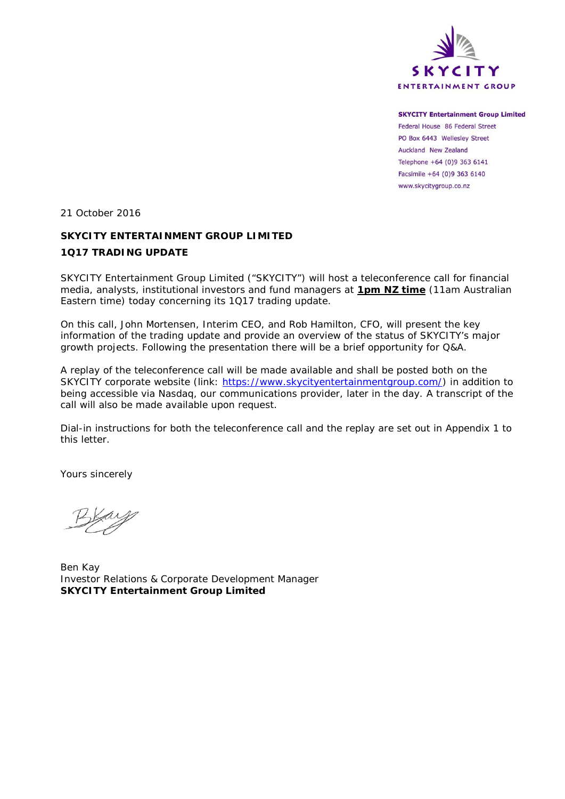

**SKYCITY Entertainment Group Limited** Federal House 86 Federal Street PO Box 6443 Wellesley Street Auckland New Zealand Telephone +64 (0)9 363 6141 Facsimile +64 (0)9 363 6140 www.skycitygroup.co.nz

21 October 2016

#### **SKYCITY ENTERTAINMENT GROUP LIMITED 1Q17 TRADING UPDATE**

SKYCITY Entertainment Group Limited ("SKYCITY") will host a teleconference call for financial media, analysts, institutional investors and fund managers at **1pm NZ time** (11am Australian Eastern time) today concerning its 1Q17 trading update.

On this call, John Mortensen, Interim CEO, and Rob Hamilton, CFO, will present the key information of the trading update and provide an overview of the status of SKYCITY's major growth projects. Following the presentation there will be a brief opportunity for Q&A.

A replay of the teleconference call will be made available and shall be posted both on the SKYCITY corporate website (link: [https://www.skycityentertainmentgroup.com/\)](https://www.skycityentertainmentgroup.com/) in addition to being accessible via Nasdaq, our communications provider, later in the day. A transcript of the call will also be made available upon request.

Dial-in instructions for both the teleconference call and the replay are set out in Appendix 1 to this letter.

Yours sincerely

Ben Kay Investor Relations & Corporate Development Manager **SKYCITY Entertainment Group Limited**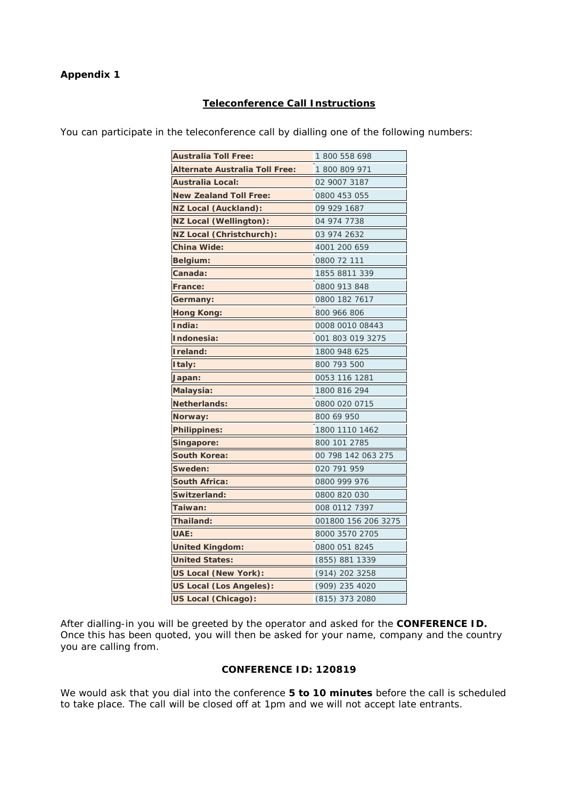#### *Appendix 1*

#### **Teleconference Call Instructions**

You can participate in the teleconference call by dialling one of the following numbers:

| <b>Australia Toll Free:</b>           | 1800 558 698        |  |
|---------------------------------------|---------------------|--|
| <b>Alternate Australia Toll Free:</b> | 1800809971          |  |
| Australia Local:                      | 02 9007 3187        |  |
| <b>New Zealand Toll Free:</b>         | 0800 453 055        |  |
| <b>NZ Local (Auckland):</b>           | 09 929 1687         |  |
| <b>NZ Local (Wellington):</b>         | 04 974 7738         |  |
| NZ Local (Christchurch):              | 03 974 2632         |  |
| <b>China Wide:</b>                    | 4001 200 659        |  |
| Belgium:                              | 0800 72 111         |  |
| Canada:                               | 1855 8811 339       |  |
| <b>France:</b>                        | 0800 913 848        |  |
| Germany:                              | 0800 182 7617       |  |
| Hong Kong:                            | 800 966 806         |  |
| India:                                | 0008 0010 08443     |  |
| Indonesia:                            | 001 803 019 3275    |  |
| Ireland:                              | 1800 948 625        |  |
| Italy:                                | 800 793 500         |  |
| Japan:                                | 0053 116 1281       |  |
| Malaysia:                             | 1800 816 294        |  |
| <b>Netherlands:</b>                   | 0800 020 0715       |  |
| Norway:                               | 800 69 950          |  |
| <b>Philippines:</b>                   | 1800 1110 1462      |  |
| Singapore:                            | 800 101 2785        |  |
| <b>South Korea:</b>                   | 00 798 142 063 275  |  |
| Sweden:                               | 020 791 959         |  |
| <b>South Africa:</b>                  | 0800 999 976        |  |
| Switzerland:                          | 0800 820 030        |  |
| Taiwan:                               | 008 0112 7397       |  |
| Thailand:                             | 001800 156 206 3275 |  |
| UAE:                                  | 8000 3570 2705      |  |
| <b>United Kingdom:</b>                | 0800 051 8245       |  |
| <b>United States:</b>                 | (855) 881 1339      |  |
| <b>US Local (New York):</b>           | (914) 202 3258      |  |
| <b>US Local (Los Angeles):</b>        | (909) 235 4020      |  |
| US Local (Chicago):                   | (815) 373 2080      |  |

After dialling-in you will be greeted by the operator and asked for the **CONFERENCE ID.** Once this has been quoted, you will then be asked for your name, company and the country you are calling from.

#### **CONFERENCE ID: 120819**

We would ask that you dial into the conference **5 to 10 minutes** before the call is scheduled to take place. The call will be closed off at 1pm and we will not accept late entrants.